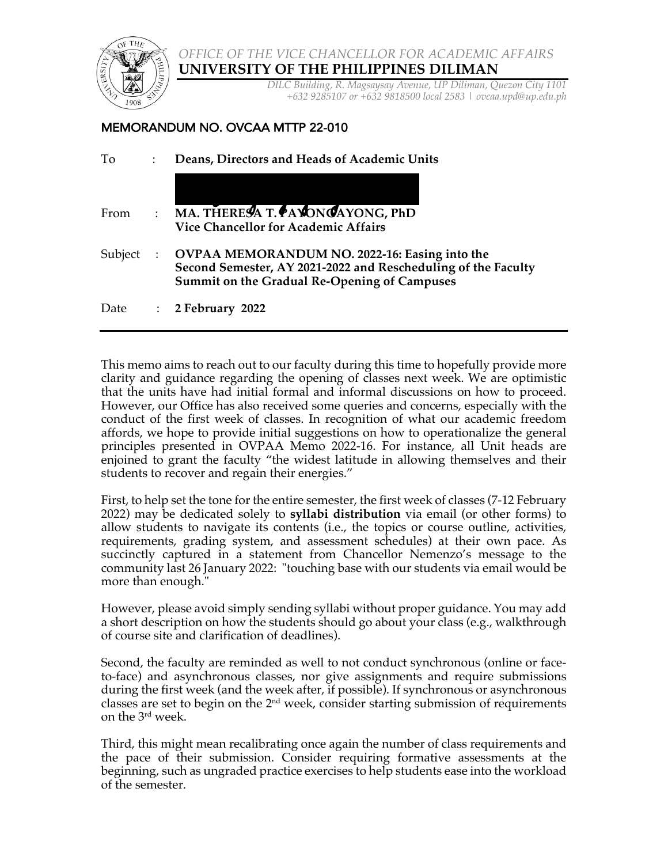

*OFFICE OF THE VICE CHANCELLOR FOR ACADEMIC AFFAIRS* **UNIVERSITY OF THE PHILIPPINES DILIMAN**

> *DILC Building, R. Magsaysay Avenue, UP Diliman, Quezon City 1101 +632 9285107 or +632 9818500 local 2583* | *ovcaa.upd@up.edu.ph*

## MEMORANDUM NO. OVCAA MTTP 22-010

| To      | $\ddot{\phantom{a}}$ | Deans, Directors and Heads of Academic Units                                                                                                                                 |
|---------|----------------------|------------------------------------------------------------------------------------------------------------------------------------------------------------------------------|
| From    |                      | $\therefore$ MA. THERESA T. PAYONGAYONG, PhD<br><b>Vice Chancellor for Academic Affairs</b>                                                                                  |
| Subject |                      | <b>OVPAA MEMORANDUM NO. 2022-16: Easing into the</b><br>Second Semester, AY 2021-2022 and Rescheduling of the Faculty<br><b>Summit on the Gradual Re-Opening of Campuses</b> |
| Date    | $\ddot{\cdot}$       | 2 February 2022                                                                                                                                                              |

This memo aims to reach out to our faculty during this time to hopefully provide more clarity and guidance regarding the opening of classes next week. We are optimistic that the units have had initial formal and informal discussions on how to proceed. However, our Office has also received some queries and concerns, especially with the conduct of the first week of classes. In recognition of what our academic freedom affords, we hope to provide initial suggestions on how to operationalize the general principles presented in OVPAA Memo 2022-16. For instance, all Unit heads are enjoined to grant the faculty "the widest latitude in allowing themselves and their students to recover and regain their energies."

First, to help set the tone for the entire semester, the first week of classes (7-12 February 2022) may be dedicated solely to **syllabi distribution** via email (or other forms) to allow students to navigate its contents (i.e., the topics or course outline, activities, requirements, grading system, and assessment schedules) at their own pace. As succinctly captured in a statement from Chancellor Nemenzo's message to the community last 26 January 2022: "touching base with our students via email would be more than enough."

However, please avoid simply sending syllabi without proper guidance. You may add a short description on how the students should go about your class (e.g., walkthrough of course site and clarification of deadlines).

Second, the faculty are reminded as well to not conduct synchronous (online or faceto-face) and asynchronous classes, nor give assignments and require submissions during the first week (and the week after, if possible). If synchronous or asynchronous classes are set to begin on the  $2<sup>nd</sup>$  week, consider starting submission of requirements on the 3rd week.

Third, this might mean recalibrating once again the number of class requirements and the pace of their submission. Consider requiring formative assessments at the beginning, such as ungraded practice exercises to help students ease into the workload of the semester.